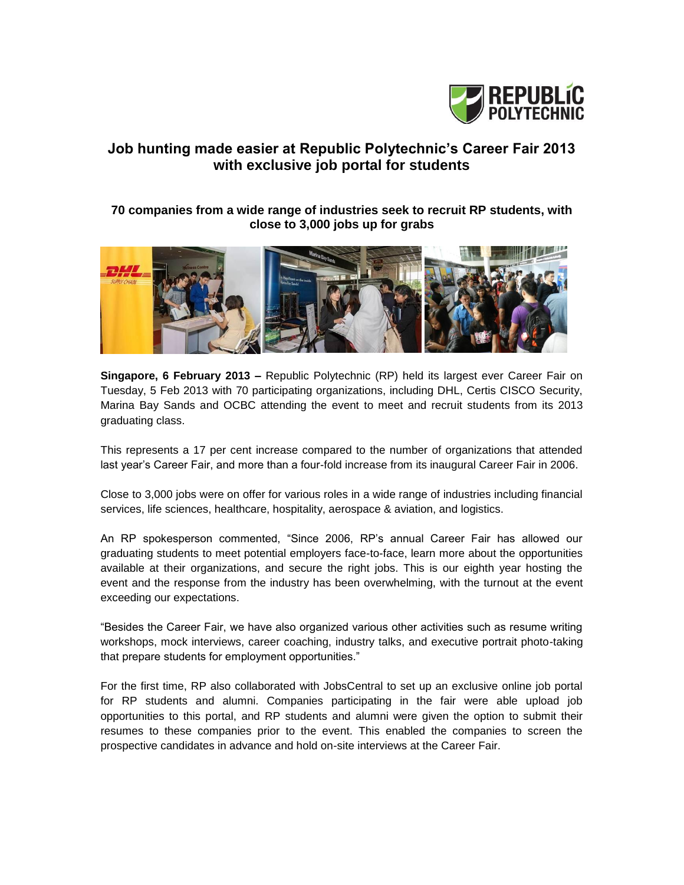

# **Job hunting made easier at Republic Polytechnic's Career Fair 2013 with exclusive job portal for students**

## **70 companies from a wide range of industries seek to recruit RP students, with close to 3,000 jobs up for grabs**



**Singapore, 6 February 2013 –** Republic Polytechnic (RP) held its largest ever Career Fair on Tuesday, 5 Feb 2013 with 70 participating organizations, including DHL, Certis CISCO Security, Marina Bay Sands and OCBC attending the event to meet and recruit students from its 2013 graduating class.

This represents a 17 per cent increase compared to the number of organizations that attended last year's Career Fair, and more than a four-fold increase from its inaugural Career Fair in 2006.

Close to 3,000 jobs were on offer for various roles in a wide range of industries including financial services, life sciences, healthcare, hospitality, aerospace & aviation, and logistics.

An RP spokesperson commented, "Since 2006, RP's annual Career Fair has allowed our graduating students to meet potential employers face-to-face, learn more about the opportunities available at their organizations, and secure the right jobs. This is our eighth year hosting the event and the response from the industry has been overwhelming, with the turnout at the event exceeding our expectations.

"Besides the Career Fair, we have also organized various other activities such as resume writing workshops, mock interviews, career coaching, industry talks, and executive portrait photo-taking that prepare students for employment opportunities."

For the first time, RP also collaborated with JobsCentral to set up an exclusive online job portal for RP students and alumni. Companies participating in the fair were able upload job opportunities to this portal, and RP students and alumni were given the option to submit their resumes to these companies prior to the event. This enabled the companies to screen the prospective candidates in advance and hold on-site interviews at the Career Fair.